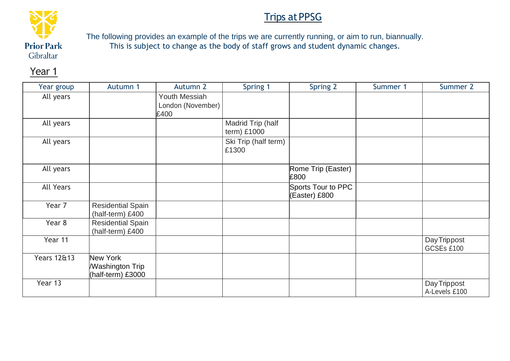## Trips atPPSG



The following provides an example of the trips we are currently running, or aim to run, biannually. This is subject to change as the body of staff grows and student dynamic changes.

## Year 1

| Year group             | Autumn 1                                                 | Autumn 2                                          | Spring 1                         | Spring 2                            | Summer 1 | Summer 2                      |
|------------------------|----------------------------------------------------------|---------------------------------------------------|----------------------------------|-------------------------------------|----------|-------------------------------|
| All years              |                                                          | <b>Youth Messiah</b><br>London (November)<br>£400 |                                  |                                     |          |                               |
| All years              |                                                          |                                                   | Madrid Trip (half<br>term) £1000 |                                     |          |                               |
| All years              |                                                          |                                                   | Ski Trip (half term)<br>£1300    |                                     |          |                               |
| All years              |                                                          |                                                   |                                  | Rome Trip (Easter)<br>£800          |          |                               |
| All Years              |                                                          |                                                   |                                  | Sports Tour to PPC<br>(Easter) £800 |          |                               |
| Year 7                 | <b>Residential Spain</b><br>(half-term) £400             |                                                   |                                  |                                     |          |                               |
| Year 8                 | <b>Residential Spain</b><br>(half-term) £400             |                                                   |                                  |                                     |          |                               |
| Year 11                |                                                          |                                                   |                                  |                                     |          | Day Trippost<br>GCSEs £100    |
| <b>Years 12&amp;13</b> | <b>New York</b><br>/Washington Trip<br>(half-term) £3000 |                                                   |                                  |                                     |          |                               |
| Year 13                |                                                          |                                                   |                                  |                                     |          | Day Trippost<br>A-Levels £100 |